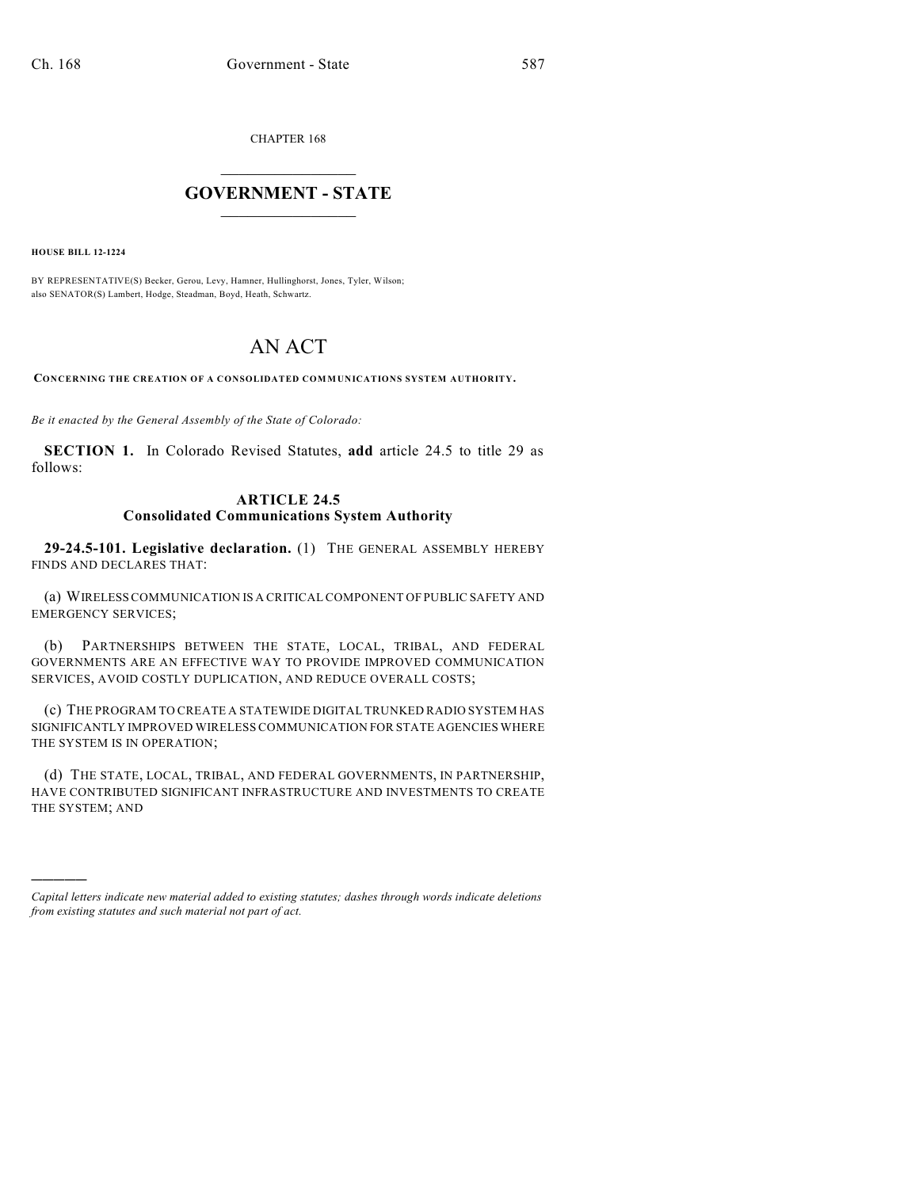CHAPTER 168

## $\overline{\phantom{a}}$  . The set of the set of the set of the set of the set of the set of the set of the set of the set of the set of the set of the set of the set of the set of the set of the set of the set of the set of the set o **GOVERNMENT - STATE**  $\_$

**HOUSE BILL 12-1224**

)))))

BY REPRESENTATIVE(S) Becker, Gerou, Levy, Hamner, Hullinghorst, Jones, Tyler, Wilson; also SENATOR(S) Lambert, Hodge, Steadman, Boyd, Heath, Schwartz.

## AN ACT

**CONCERNING THE CREATION OF A CONSOLIDATED COMMUNICATIONS SYSTEM AUTHORITY.**

*Be it enacted by the General Assembly of the State of Colorado:*

**SECTION 1.** In Colorado Revised Statutes, **add** article 24.5 to title 29 as follows:

## **ARTICLE 24.5 Consolidated Communications System Authority**

**29-24.5-101. Legislative declaration.** (1) THE GENERAL ASSEMBLY HEREBY FINDS AND DECLARES THAT:

(a) WIRELESSCOMMUNICATION IS A CRITICAL COMPONENT OF PUBLIC SAFETY AND EMERGENCY SERVICES;

(b) PARTNERSHIPS BETWEEN THE STATE, LOCAL, TRIBAL, AND FEDERAL GOVERNMENTS ARE AN EFFECTIVE WAY TO PROVIDE IMPROVED COMMUNICATION SERVICES, AVOID COSTLY DUPLICATION, AND REDUCE OVERALL COSTS;

(c) THE PROGRAM TO CREATE A STATEWIDE DIGITAL TRUNKED RADIO SYSTEM HAS SIGNIFICANTLY IMPROVED WIRELESS COMMUNICATION FOR STATE AGENCIES WHERE THE SYSTEM IS IN OPERATION;

(d) THE STATE, LOCAL, TRIBAL, AND FEDERAL GOVERNMENTS, IN PARTNERSHIP, HAVE CONTRIBUTED SIGNIFICANT INFRASTRUCTURE AND INVESTMENTS TO CREATE THE SYSTEM; AND

*Capital letters indicate new material added to existing statutes; dashes through words indicate deletions from existing statutes and such material not part of act.*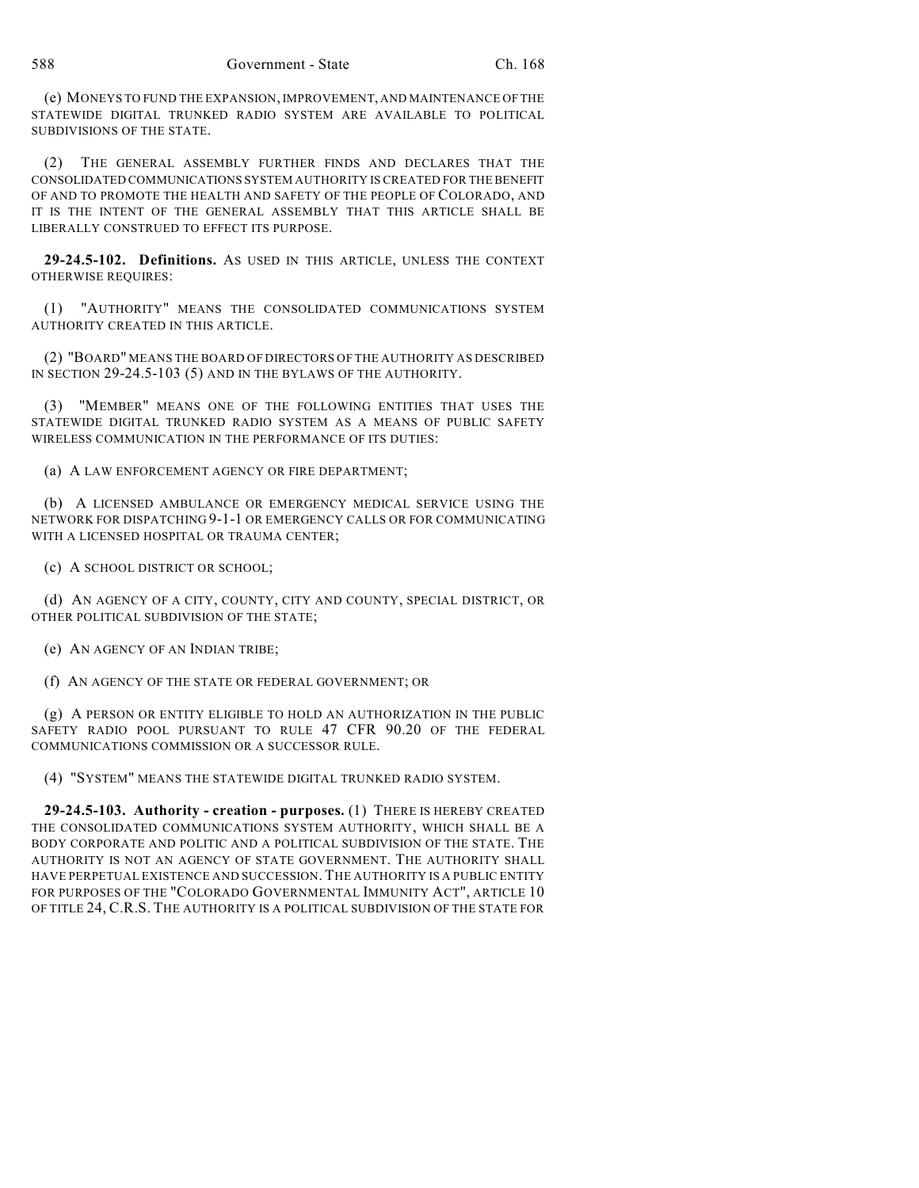(e) MONEYS TO FUND THE EXPANSION, IMPROVEMENT, AND MAINTENANCE OF THE STATEWIDE DIGITAL TRUNKED RADIO SYSTEM ARE AVAILABLE TO POLITICAL SUBDIVISIONS OF THE STATE.

(2) THE GENERAL ASSEMBLY FURTHER FINDS AND DECLARES THAT THE CONSOLIDATED COMMUNICATIONS SYSTEM AUTHORITY IS CREATED FOR THE BENEFIT OF AND TO PROMOTE THE HEALTH AND SAFETY OF THE PEOPLE OF COLORADO, AND IT IS THE INTENT OF THE GENERAL ASSEMBLY THAT THIS ARTICLE SHALL BE LIBERALLY CONSTRUED TO EFFECT ITS PURPOSE.

**29-24.5-102. Definitions.** AS USED IN THIS ARTICLE, UNLESS THE CONTEXT OTHERWISE REQUIRES:

(1) "AUTHORITY" MEANS THE CONSOLIDATED COMMUNICATIONS SYSTEM AUTHORITY CREATED IN THIS ARTICLE.

(2) "BOARD" MEANS THE BOARD OF DIRECTORS OF THE AUTHORITY AS DESCRIBED IN SECTION 29-24.5-103 (5) AND IN THE BYLAWS OF THE AUTHORITY.

(3) "MEMBER" MEANS ONE OF THE FOLLOWING ENTITIES THAT USES THE STATEWIDE DIGITAL TRUNKED RADIO SYSTEM AS A MEANS OF PUBLIC SAFETY WIRELESS COMMUNICATION IN THE PERFORMANCE OF ITS DUTIES:

(a) A LAW ENFORCEMENT AGENCY OR FIRE DEPARTMENT;

(b) A LICENSED AMBULANCE OR EMERGENCY MEDICAL SERVICE USING THE NETWORK FOR DISPATCHING 9-1-1 OR EMERGENCY CALLS OR FOR COMMUNICATING WITH A LICENSED HOSPITAL OR TRAUMA CENTER;

(c) A SCHOOL DISTRICT OR SCHOOL;

(d) AN AGENCY OF A CITY, COUNTY, CITY AND COUNTY, SPECIAL DISTRICT, OR OTHER POLITICAL SUBDIVISION OF THE STATE;

(e) AN AGENCY OF AN INDIAN TRIBE;

(f) AN AGENCY OF THE STATE OR FEDERAL GOVERNMENT; OR

(g) A PERSON OR ENTITY ELIGIBLE TO HOLD AN AUTHORIZATION IN THE PUBLIC SAFETY RADIO POOL PURSUANT TO RULE 47 CFR 90.20 OF THE FEDERAL COMMUNICATIONS COMMISSION OR A SUCCESSOR RULE.

(4) "SYSTEM" MEANS THE STATEWIDE DIGITAL TRUNKED RADIO SYSTEM.

**29-24.5-103. Authority - creation - purposes.** (1) THERE IS HEREBY CREATED THE CONSOLIDATED COMMUNICATIONS SYSTEM AUTHORITY, WHICH SHALL BE A BODY CORPORATE AND POLITIC AND A POLITICAL SUBDIVISION OF THE STATE. THE AUTHORITY IS NOT AN AGENCY OF STATE GOVERNMENT. THE AUTHORITY SHALL HAVE PERPETUAL EXISTENCE AND SUCCESSION. THE AUTHORITY IS A PUBLIC ENTITY FOR PURPOSES OF THE "COLORADO GOVERNMENTAL IMMUNITY ACT", ARTICLE 10 OF TITLE 24, C.R.S. THE AUTHORITY IS A POLITICAL SUBDIVISION OF THE STATE FOR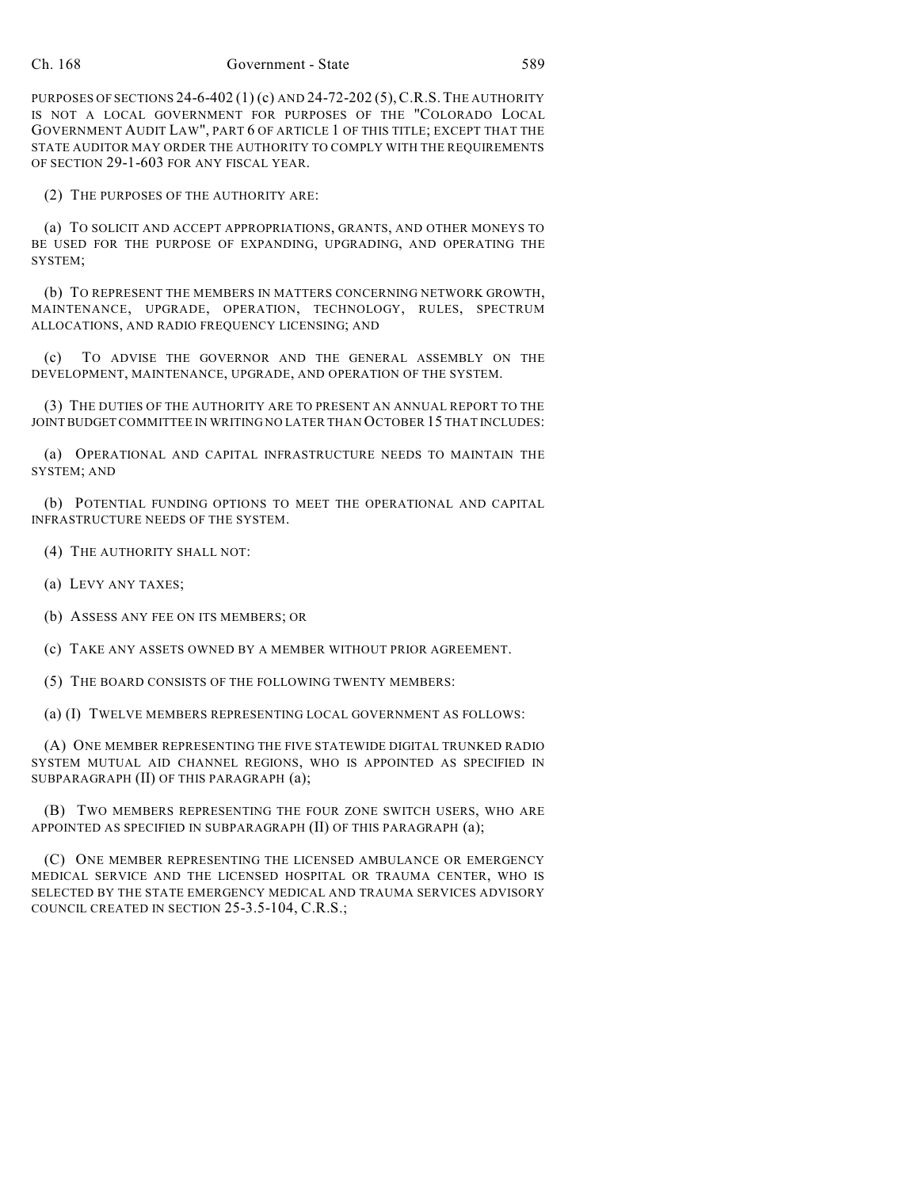PURPOSES OF SECTIONS 24-6-402 (1) (c) AND 24-72-202 (5),C.R.S.THE AUTHORITY IS NOT A LOCAL GOVERNMENT FOR PURPOSES OF THE "COLORADO LOCAL GOVERNMENT AUDIT LAW", PART 6 OF ARTICLE 1 OF THIS TITLE; EXCEPT THAT THE STATE AUDITOR MAY ORDER THE AUTHORITY TO COMPLY WITH THE REQUIREMENTS OF SECTION 29-1-603 FOR ANY FISCAL YEAR.

(2) THE PURPOSES OF THE AUTHORITY ARE:

(a) TO SOLICIT AND ACCEPT APPROPRIATIONS, GRANTS, AND OTHER MONEYS TO BE USED FOR THE PURPOSE OF EXPANDING, UPGRADING, AND OPERATING THE SYSTEM;

(b) TO REPRESENT THE MEMBERS IN MATTERS CONCERNING NETWORK GROWTH, MAINTENANCE, UPGRADE, OPERATION, TECHNOLOGY, RULES, SPECTRUM ALLOCATIONS, AND RADIO FREQUENCY LICENSING; AND

(c) TO ADVISE THE GOVERNOR AND THE GENERAL ASSEMBLY ON THE DEVELOPMENT, MAINTENANCE, UPGRADE, AND OPERATION OF THE SYSTEM.

(3) THE DUTIES OF THE AUTHORITY ARE TO PRESENT AN ANNUAL REPORT TO THE JOINT BUDGET COMMITTEE IN WRITING NO LATER THAN OCTOBER 15 THAT INCLUDES:

(a) OPERATIONAL AND CAPITAL INFRASTRUCTURE NEEDS TO MAINTAIN THE SYSTEM; AND

(b) POTENTIAL FUNDING OPTIONS TO MEET THE OPERATIONAL AND CAPITAL INFRASTRUCTURE NEEDS OF THE SYSTEM.

(4) THE AUTHORITY SHALL NOT:

(a) LEVY ANY TAXES;

(b) ASSESS ANY FEE ON ITS MEMBERS; OR

(c) TAKE ANY ASSETS OWNED BY A MEMBER WITHOUT PRIOR AGREEMENT.

(5) THE BOARD CONSISTS OF THE FOLLOWING TWENTY MEMBERS:

(a) (I) TWELVE MEMBERS REPRESENTING LOCAL GOVERNMENT AS FOLLOWS:

(A) ONE MEMBER REPRESENTING THE FIVE STATEWIDE DIGITAL TRUNKED RADIO SYSTEM MUTUAL AID CHANNEL REGIONS, WHO IS APPOINTED AS SPECIFIED IN SUBPARAGRAPH (II) OF THIS PARAGRAPH (a);

(B) TWO MEMBERS REPRESENTING THE FOUR ZONE SWITCH USERS, WHO ARE APPOINTED AS SPECIFIED IN SUBPARAGRAPH (II) OF THIS PARAGRAPH (a);

(C) ONE MEMBER REPRESENTING THE LICENSED AMBULANCE OR EMERGENCY MEDICAL SERVICE AND THE LICENSED HOSPITAL OR TRAUMA CENTER, WHO IS SELECTED BY THE STATE EMERGENCY MEDICAL AND TRAUMA SERVICES ADVISORY COUNCIL CREATED IN SECTION 25-3.5-104, C.R.S.;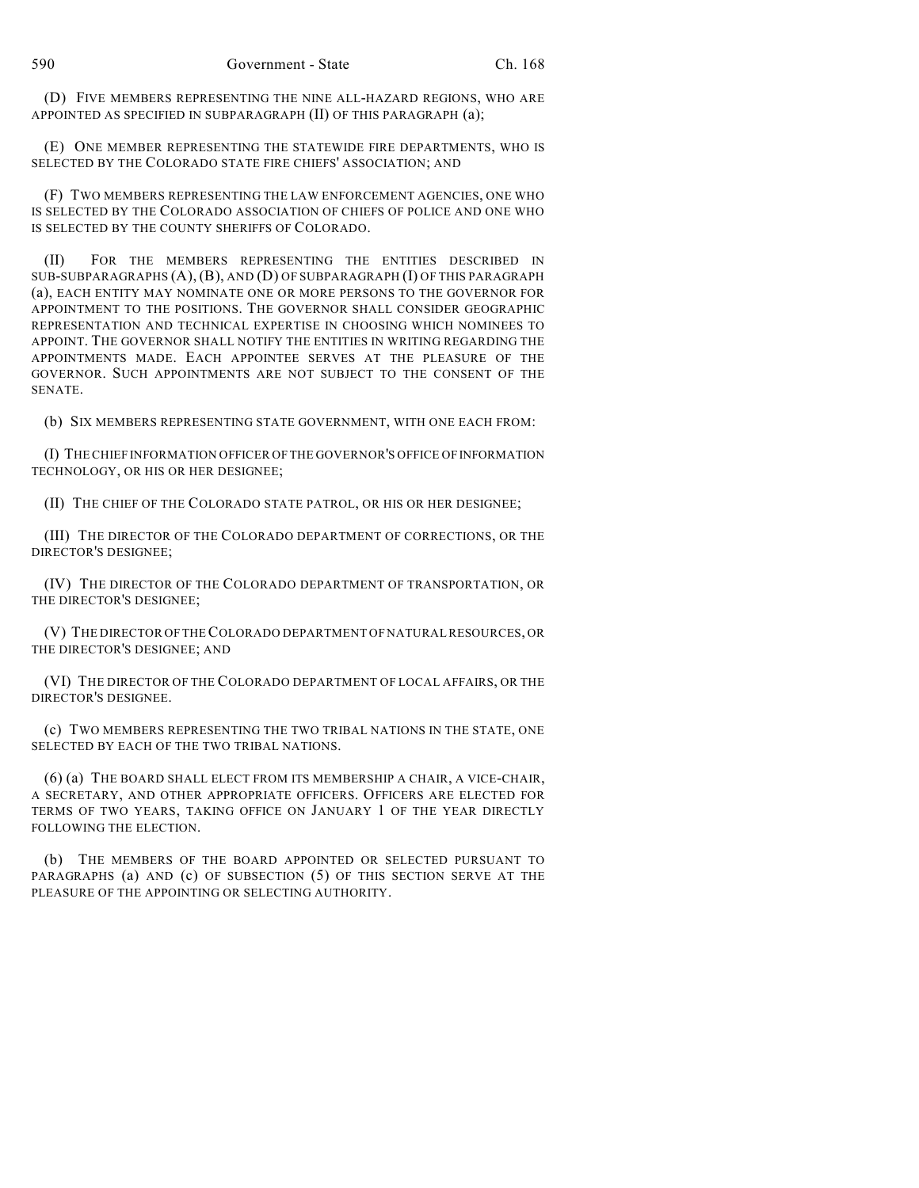(D) FIVE MEMBERS REPRESENTING THE NINE ALL-HAZARD REGIONS, WHO ARE APPOINTED AS SPECIFIED IN SUBPARAGRAPH (II) OF THIS PARAGRAPH (a);

(E) ONE MEMBER REPRESENTING THE STATEWIDE FIRE DEPARTMENTS, WHO IS SELECTED BY THE COLORADO STATE FIRE CHIEFS' ASSOCIATION; AND

(F) TWO MEMBERS REPRESENTING THE LAW ENFORCEMENT AGENCIES, ONE WHO IS SELECTED BY THE COLORADO ASSOCIATION OF CHIEFS OF POLICE AND ONE WHO IS SELECTED BY THE COUNTY SHERIFFS OF COLORADO.

(II) FOR THE MEMBERS REPRESENTING THE ENTITIES DESCRIBED IN SUB-SUBPARAGRAPHS (A), (B), AND (D) OF SUBPARAGRAPH (I) OF THIS PARAGRAPH (a), EACH ENTITY MAY NOMINATE ONE OR MORE PERSONS TO THE GOVERNOR FOR APPOINTMENT TO THE POSITIONS. THE GOVERNOR SHALL CONSIDER GEOGRAPHIC REPRESENTATION AND TECHNICAL EXPERTISE IN CHOOSING WHICH NOMINEES TO APPOINT. THE GOVERNOR SHALL NOTIFY THE ENTITIES IN WRITING REGARDING THE APPOINTMENTS MADE. EACH APPOINTEE SERVES AT THE PLEASURE OF THE GOVERNOR. SUCH APPOINTMENTS ARE NOT SUBJECT TO THE CONSENT OF THE SENATE.

(b) SIX MEMBERS REPRESENTING STATE GOVERNMENT, WITH ONE EACH FROM:

(I) THECHIEF INFORMATION OFFICER OF THE GOVERNOR'S OFFICE OFINFORMATION TECHNOLOGY, OR HIS OR HER DESIGNEE;

(II) THE CHIEF OF THE COLORADO STATE PATROL, OR HIS OR HER DESIGNEE;

(III) THE DIRECTOR OF THE COLORADO DEPARTMENT OF CORRECTIONS, OR THE DIRECTOR'S DESIGNEE;

(IV) THE DIRECTOR OF THE COLORADO DEPARTMENT OF TRANSPORTATION, OR THE DIRECTOR'S DESIGNEE;

(V) THE DIRECTOR OF THECOLORADO DEPARTMENT OF NATURALRESOURCES, OR THE DIRECTOR'S DESIGNEE; AND

(VI) THE DIRECTOR OF THE COLORADO DEPARTMENT OF LOCAL AFFAIRS, OR THE DIRECTOR'S DESIGNEE.

(c) TWO MEMBERS REPRESENTING THE TWO TRIBAL NATIONS IN THE STATE, ONE SELECTED BY EACH OF THE TWO TRIBAL NATIONS.

(6) (a) THE BOARD SHALL ELECT FROM ITS MEMBERSHIP A CHAIR, A VICE-CHAIR, A SECRETARY, AND OTHER APPROPRIATE OFFICERS. OFFICERS ARE ELECTED FOR TERMS OF TWO YEARS, TAKING OFFICE ON JANUARY 1 OF THE YEAR DIRECTLY FOLLOWING THE ELECTION.

(b) THE MEMBERS OF THE BOARD APPOINTED OR SELECTED PURSUANT TO PARAGRAPHS (a) AND (c) OF SUBSECTION (5) OF THIS SECTION SERVE AT THE PLEASURE OF THE APPOINTING OR SELECTING AUTHORITY.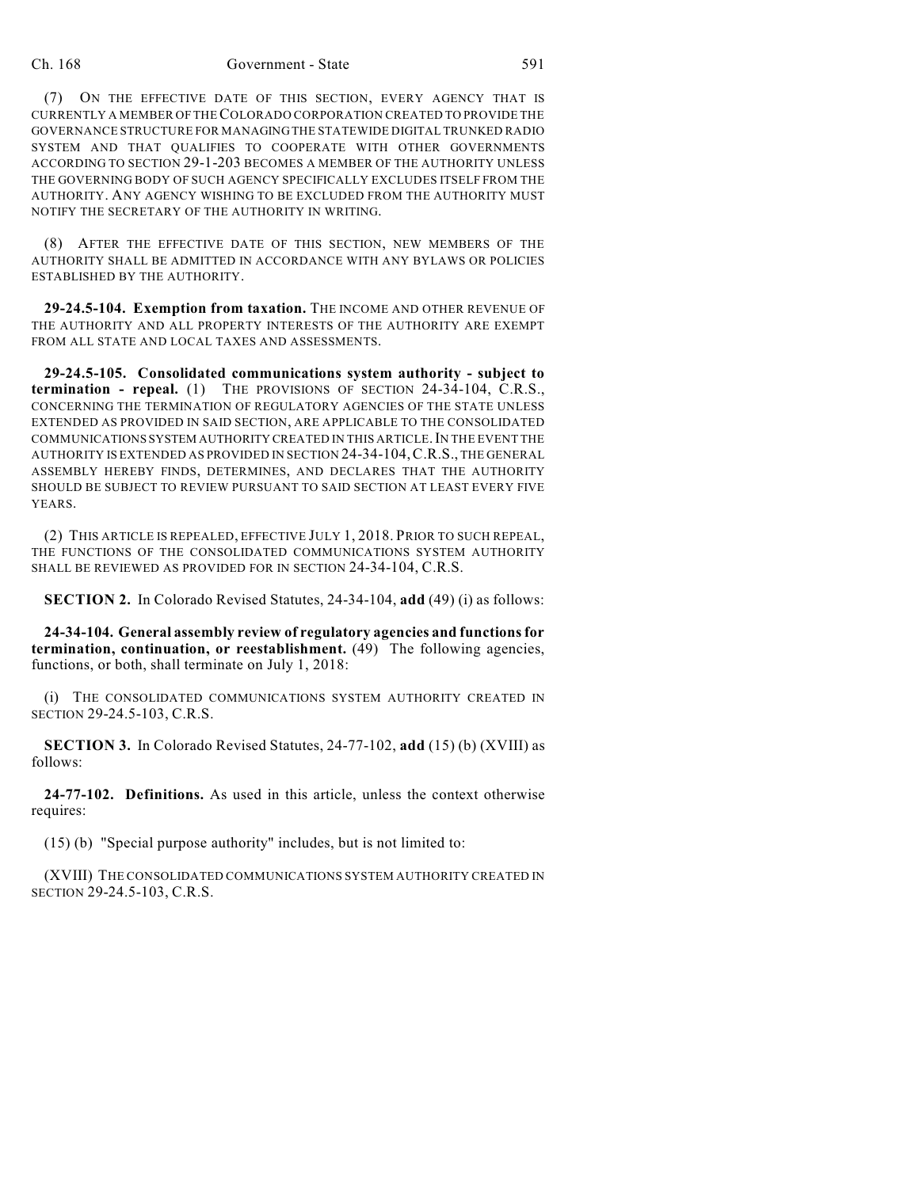## Ch. 168 Government - State 591

(7) ON THE EFFECTIVE DATE OF THIS SECTION, EVERY AGENCY THAT IS CURRENTLY A MEMBER OF THECOLORADO CORPORATION CREATED TO PROVIDE THE GOVERNANCE STRUCTURE FOR MANAGING THE STATEWIDE DIGITAL TRUNKED RADIO SYSTEM AND THAT QUALIFIES TO COOPERATE WITH OTHER GOVERNMENTS ACCORDING TO SECTION 29-1-203 BECOMES A MEMBER OF THE AUTHORITY UNLESS THE GOVERNING BODY OF SUCH AGENCY SPECIFICALLY EXCLUDES ITSELF FROM THE AUTHORITY. ANY AGENCY WISHING TO BE EXCLUDED FROM THE AUTHORITY MUST NOTIFY THE SECRETARY OF THE AUTHORITY IN WRITING.

(8) AFTER THE EFFECTIVE DATE OF THIS SECTION, NEW MEMBERS OF THE AUTHORITY SHALL BE ADMITTED IN ACCORDANCE WITH ANY BYLAWS OR POLICIES ESTABLISHED BY THE AUTHORITY.

**29-24.5-104. Exemption from taxation.** THE INCOME AND OTHER REVENUE OF THE AUTHORITY AND ALL PROPERTY INTERESTS OF THE AUTHORITY ARE EXEMPT FROM ALL STATE AND LOCAL TAXES AND ASSESSMENTS.

**29-24.5-105. Consolidated communications system authority - subject to termination - repeal.** (1) THE PROVISIONS OF SECTION 24-34-104, C.R.S., CONCERNING THE TERMINATION OF REGULATORY AGENCIES OF THE STATE UNLESS EXTENDED AS PROVIDED IN SAID SECTION, ARE APPLICABLE TO THE CONSOLIDATED COMMUNICATIONS SYSTEM AUTHORITY CREATED IN THIS ARTICLE. IN THE EVENT THE AUTHORITY IS EXTENDED AS PROVIDED IN SECTION 24-34-104,C.R.S., THE GENERAL ASSEMBLY HEREBY FINDS, DETERMINES, AND DECLARES THAT THE AUTHORITY SHOULD BE SUBJECT TO REVIEW PURSUANT TO SAID SECTION AT LEAST EVERY FIVE **YEARS**.

(2) THIS ARTICLE IS REPEALED, EFFECTIVE JULY 1, 2018. PRIOR TO SUCH REPEAL, THE FUNCTIONS OF THE CONSOLIDATED COMMUNICATIONS SYSTEM AUTHORITY SHALL BE REVIEWED AS PROVIDED FOR IN SECTION 24-34-104, C.R.S.

**SECTION 2.** In Colorado Revised Statutes, 24-34-104, **add** (49) (i) as follows:

**24-34-104. General assembly review of regulatory agencies and functionsfor termination, continuation, or reestablishment.** (49) The following agencies, functions, or both, shall terminate on July 1, 2018:

(i) THE CONSOLIDATED COMMUNICATIONS SYSTEM AUTHORITY CREATED IN SECTION 29-24.5-103, C.R.S.

**SECTION 3.** In Colorado Revised Statutes, 24-77-102, **add** (15) (b) (XVIII) as follows:

**24-77-102. Definitions.** As used in this article, unless the context otherwise requires:

(15) (b) "Special purpose authority" includes, but is not limited to:

(XVIII) THE CONSOLIDATED COMMUNICATIONS SYSTEM AUTHORITY CREATED IN SECTION 29-24.5-103, C.R.S.